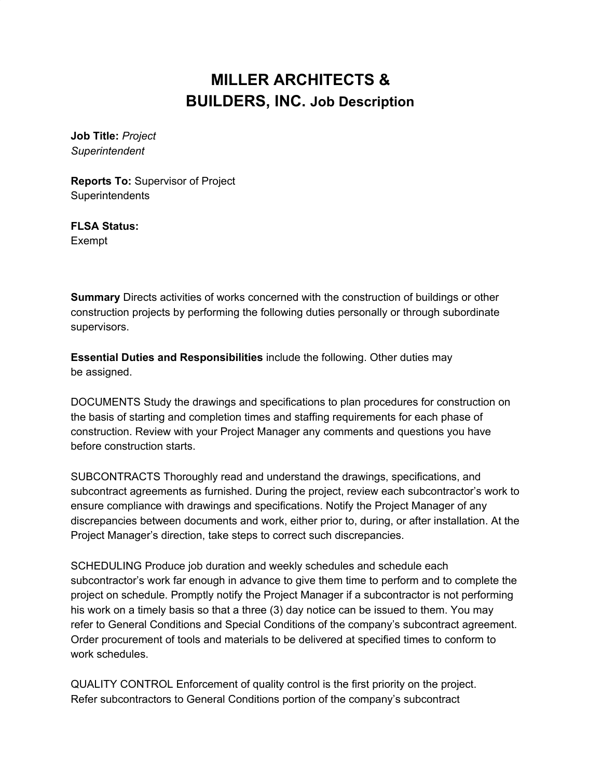## **MILLER ARCHITECTS & BUILDERS, INC. Job Description**

**Job Title:** *Project Superintendent*

**Reports To:** Supervisor of Project **Superintendents** 

**FLSA Status:** Exempt

**Summary** Directs activities of works concerned with the construction of buildings or other construction projects by performing the following duties personally or through subordinate supervisors.

**Essential Duties and Responsibilities** include the following. Other duties may be assigned.

DOCUMENTS Study the drawings and specifications to plan procedures for construction on the basis of starting and completion times and staffing requirements for each phase of construction. Review with your Project Manager any comments and questions you have before construction starts.

SUBCONTRACTS Thoroughly read and understand the drawings, specifications, and subcontract agreements as furnished. During the project, review each subcontractor's work to ensure compliance with drawings and specifications. Notify the Project Manager of any discrepancies between documents and work, either prior to, during, or after installation. At the Project Manager's direction, take steps to correct such discrepancies.

SCHEDULING Produce job duration and weekly schedules and schedule each subcontractor's work far enough in advance to give them time to perform and to complete the project on schedule. Promptly notify the Project Manager if a subcontractor is not performing his work on a timely basis so that a three (3) day notice can be issued to them. You may refer to General Conditions and Special Conditions of the company's subcontract agreement. Order procurement of tools and materials to be delivered at specified times to conform to work schedules.

QUALITY CONTROL Enforcement of quality control is the first priority on the project. Refer subcontractors to General Conditions portion of the company's subcontract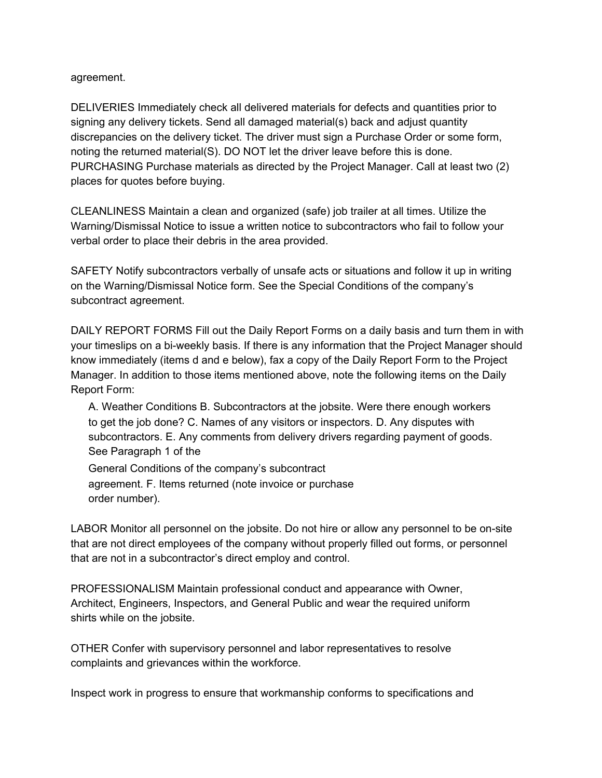## agreement.

DELIVERIES Immediately check all delivered materials for defects and quantities prior to signing any delivery tickets. Send all damaged material(s) back and adjust quantity discrepancies on the delivery ticket. The driver must sign a Purchase Order or some form, noting the returned material(S). DO NOT let the driver leave before this is done. PURCHASING Purchase materials as directed by the Project Manager. Call at least two (2) places for quotes before buying.

CLEANLINESS Maintain a clean and organized (safe) job trailer at all times. Utilize the Warning/Dismissal Notice to issue a written notice to subcontractors who fail to follow your verbal order to place their debris in the area provided.

SAFETY Notify subcontractors verbally of unsafe acts or situations and follow it up in writing on the Warning/Dismissal Notice form. See the Special Conditions of the company's subcontract agreement.

DAILY REPORT FORMS Fill out the Daily Report Forms on a daily basis and turn them in with your timeslips on a bi-weekly basis. If there is any information that the Project Manager should know immediately (items d and e below), fax a copy of the Daily Report Form to the Project Manager. In addition to those items mentioned above, note the following items on the Daily Report Form:

A. Weather Conditions B. Subcontractors at the jobsite. Were there enough workers to get the job done? C. Names of any visitors or inspectors. D. Any disputes with subcontractors. E. Any comments from delivery drivers regarding payment of goods. See Paragraph 1 of the

General Conditions of the company's subcontract agreement. F. Items returned (note invoice or purchase order number).

LABOR Monitor all personnel on the jobsite. Do not hire or allow any personnel to be on-site that are not direct employees of the company without properly filled out forms, or personnel that are not in a subcontractor's direct employ and control.

PROFESSIONALISM Maintain professional conduct and appearance with Owner, Architect, Engineers, Inspectors, and General Public and wear the required uniform shirts while on the jobsite.

OTHER Confer with supervisory personnel and labor representatives to resolve complaints and grievances within the workforce.

Inspect work in progress to ensure that workmanship conforms to specifications and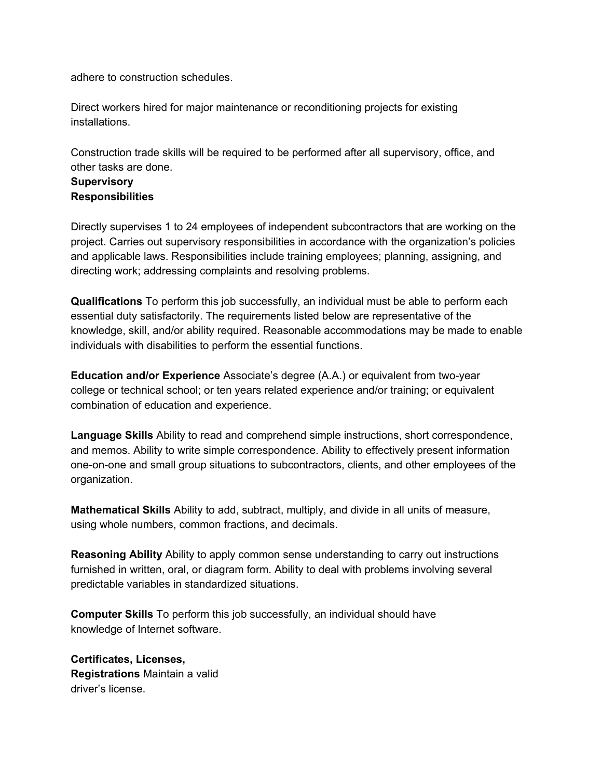adhere to construction schedules.

Direct workers hired for major maintenance or reconditioning projects for existing installations.

Construction trade skills will be required to be performed after all supervisory, office, and other tasks are done.

## **Supervisory Responsibilities**

Directly supervises 1 to 24 employees of independent subcontractors that are working on the project. Carries out supervisory responsibilities in accordance with the organization's policies and applicable laws. Responsibilities include training employees; planning, assigning, and directing work; addressing complaints and resolving problems.

**Qualifications** To perform this job successfully, an individual must be able to perform each essential duty satisfactorily. The requirements listed below are representative of the knowledge, skill, and/or ability required. Reasonable accommodations may be made to enable individuals with disabilities to perform the essential functions.

**Education and/or Experience** Associate's degree (A.A.) or equivalent from two-year college or technical school; or ten years related experience and/or training; or equivalent combination of education and experience.

**Language Skills** Ability to read and comprehend simple instructions, short correspondence, and memos. Ability to write simple correspondence. Ability to effectively present information one-on-one and small group situations to subcontractors, clients, and other employees of the organization.

**Mathematical Skills** Ability to add, subtract, multiply, and divide in all units of measure, using whole numbers, common fractions, and decimals.

**Reasoning Ability** Ability to apply common sense understanding to carry out instructions furnished in written, oral, or diagram form. Ability to deal with problems involving several predictable variables in standardized situations.

**Computer Skills** To perform this job successfully, an individual should have knowledge of Internet software.

**Certificates, Licenses, Registrations** Maintain a valid driver's license.